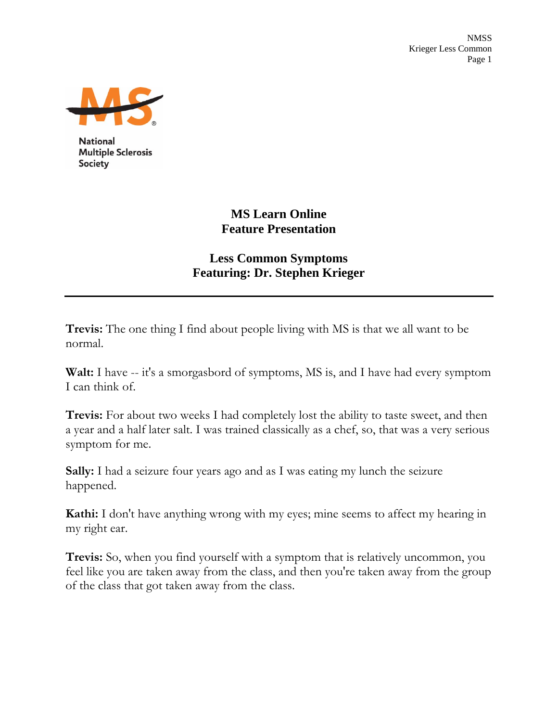NMSS Krieger Less Common Page 1



**National Multiple Sclerosis Society** 

# **MS Learn Online Feature Presentation**

## **Less Common Symptoms Featuring: Dr. Stephen Krieger**

**Trevis:** The one thing I find about people living with MS is that we all want to be normal.

**Walt:** I have -- it's a smorgasbord of symptoms, MS is, and I have had every symptom I can think of.

**Trevis:** For about two weeks I had completely lost the ability to taste sweet, and then a year and a half later salt. I was trained classically as a chef, so, that was a very serious symptom for me.

**Sally:** I had a seizure four years ago and as I was eating my lunch the seizure happened.

**Kathi:** I don't have anything wrong with my eyes; mine seems to affect my hearing in my right ear.

**Trevis:** So, when you find yourself with a symptom that is relatively uncommon, you feel like you are taken away from the class, and then you're taken away from the group of the class that got taken away from the class.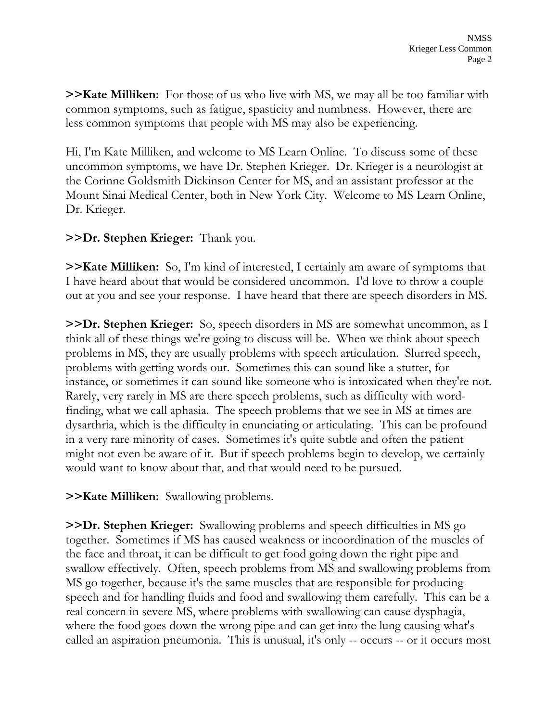**>>Kate Milliken:** For those of us who live with MS, we may all be too familiar with common symptoms, such as fatigue, spasticity and numbness. However, there are less common symptoms that people with MS may also be experiencing.

Hi, I'm Kate Milliken, and welcome to MS Learn Online. To discuss some of these uncommon symptoms, we have Dr. Stephen Krieger. Dr. Krieger is a neurologist at the Corinne Goldsmith Dickinson Center for MS, and an assistant professor at the Mount Sinai Medical Center, both in New York City. Welcome to MS Learn Online, Dr. Krieger.

#### **>>Dr. Stephen Krieger:** Thank you.

**>>Kate Milliken:** So, I'm kind of interested, I certainly am aware of symptoms that I have heard about that would be considered uncommon. I'd love to throw a couple out at you and see your response. I have heard that there are speech disorders in MS.

**>>Dr. Stephen Krieger:** So, speech disorders in MS are somewhat uncommon, as I think all of these things we're going to discuss will be. When we think about speech problems in MS, they are usually problems with speech articulation. Slurred speech, problems with getting words out. Sometimes this can sound like a stutter, for instance, or sometimes it can sound like someone who is intoxicated when they're not. Rarely, very rarely in MS are there speech problems, such as difficulty with wordfinding, what we call aphasia. The speech problems that we see in MS at times are dysarthria, which is the difficulty in enunciating or articulating. This can be profound in a very rare minority of cases. Sometimes it's quite subtle and often the patient might not even be aware of it. But if speech problems begin to develop, we certainly would want to know about that, and that would need to be pursued.

**>>Kate Milliken:** Swallowing problems.

**>>Dr. Stephen Krieger:** Swallowing problems and speech difficulties in MS go together. Sometimes if MS has caused weakness or incoordination of the muscles of the face and throat, it can be difficult to get food going down the right pipe and swallow effectively. Often, speech problems from MS and swallowing problems from MS go together, because it's the same muscles that are responsible for producing speech and for handling fluids and food and swallowing them carefully. This can be a real concern in severe MS, where problems with swallowing can cause dysphagia, where the food goes down the wrong pipe and can get into the lung causing what's called an aspiration pneumonia. This is unusual, it's only -- occurs -- or it occurs most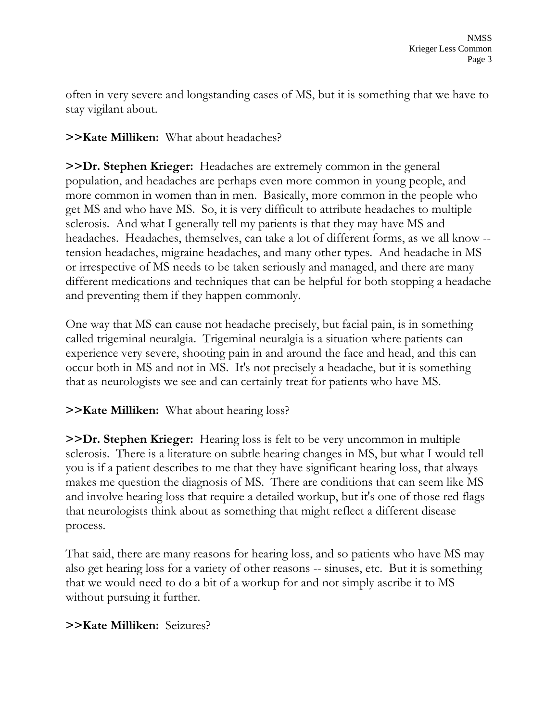often in very severe and longstanding cases of MS, but it is something that we have to stay vigilant about.

**>>Kate Milliken:** What about headaches?

**>>Dr. Stephen Krieger:** Headaches are extremely common in the general population, and headaches are perhaps even more common in young people, and more common in women than in men. Basically, more common in the people who get MS and who have MS. So, it is very difficult to attribute headaches to multiple sclerosis. And what I generally tell my patients is that they may have MS and headaches. Headaches, themselves, can take a lot of different forms, as we all know - tension headaches, migraine headaches, and many other types. And headache in MS or irrespective of MS needs to be taken seriously and managed, and there are many different medications and techniques that can be helpful for both stopping a headache and preventing them if they happen commonly.

One way that MS can cause not headache precisely, but facial pain, is in something called trigeminal neuralgia. Trigeminal neuralgia is a situation where patients can experience very severe, shooting pain in and around the face and head, and this can occur both in MS and not in MS. It's not precisely a headache, but it is something that as neurologists we see and can certainly treat for patients who have MS.

## **>>Kate Milliken:** What about hearing loss?

**>>Dr. Stephen Krieger:** Hearing loss is felt to be very uncommon in multiple sclerosis. There is a literature on subtle hearing changes in MS, but what I would tell you is if a patient describes to me that they have significant hearing loss, that always makes me question the diagnosis of MS. There are conditions that can seem like MS and involve hearing loss that require a detailed workup, but it's one of those red flags that neurologists think about as something that might reflect a different disease process.

That said, there are many reasons for hearing loss, and so patients who have MS may also get hearing loss for a variety of other reasons -- sinuses, etc. But it is something that we would need to do a bit of a workup for and not simply ascribe it to MS without pursuing it further.

## **>>Kate Milliken:** Seizures?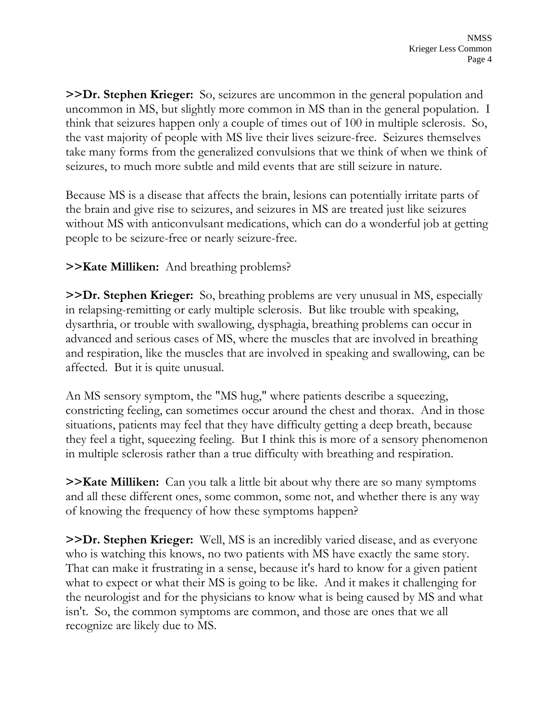**>>Dr. Stephen Krieger:** So, seizures are uncommon in the general population and uncommon in MS, but slightly more common in MS than in the general population. I think that seizures happen only a couple of times out of 100 in multiple sclerosis. So, the vast majority of people with MS live their lives seizure-free. Seizures themselves take many forms from the generalized convulsions that we think of when we think of seizures, to much more subtle and mild events that are still seizure in nature.

Because MS is a disease that affects the brain, lesions can potentially irritate parts of the brain and give rise to seizures, and seizures in MS are treated just like seizures without MS with anticonvulsant medications, which can do a wonderful job at getting people to be seizure-free or nearly seizure-free.

**>>Kate Milliken:** And breathing problems?

**>>Dr. Stephen Krieger:** So, breathing problems are very unusual in MS, especially in relapsing-remitting or early multiple sclerosis. But like trouble with speaking, dysarthria, or trouble with swallowing, dysphagia, breathing problems can occur in advanced and serious cases of MS, where the muscles that are involved in breathing and respiration, like the muscles that are involved in speaking and swallowing, can be affected. But it is quite unusual.

An MS sensory symptom, the "MS hug," where patients describe a squeezing, constricting feeling, can sometimes occur around the chest and thorax. And in those situations, patients may feel that they have difficulty getting a deep breath, because they feel a tight, squeezing feeling. But I think this is more of a sensory phenomenon in multiple sclerosis rather than a true difficulty with breathing and respiration.

**>>Kate Milliken:** Can you talk a little bit about why there are so many symptoms and all these different ones, some common, some not, and whether there is any way of knowing the frequency of how these symptoms happen?

**>>Dr. Stephen Krieger:** Well, MS is an incredibly varied disease, and as everyone who is watching this knows, no two patients with MS have exactly the same story. That can make it frustrating in a sense, because it's hard to know for a given patient what to expect or what their MS is going to be like. And it makes it challenging for the neurologist and for the physicians to know what is being caused by MS and what isn't. So, the common symptoms are common, and those are ones that we all recognize are likely due to MS.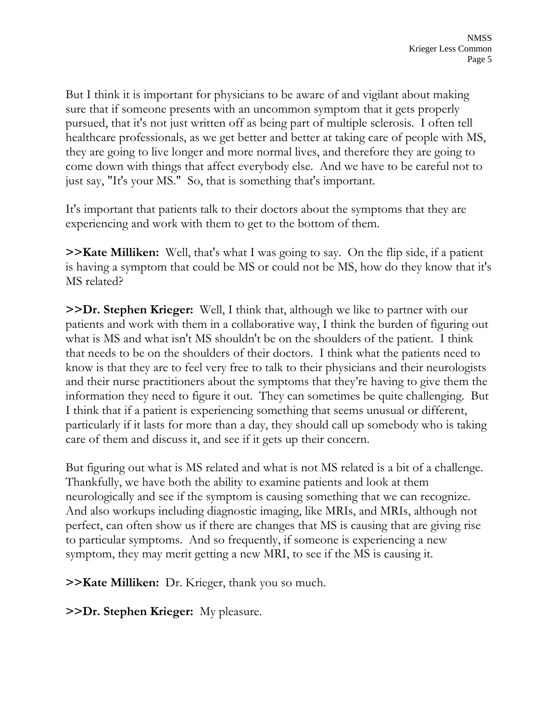But I think it is important for physicians to be aware of and vigilant about making sure that if someone presents with an uncommon symptom that it gets properly pursued, that it's not just written off as being part of multiple sclerosis. I often tell healthcare professionals, as we get better and better at taking care of people with MS, they are going to live longer and more normal lives, and therefore they are going to come down with things that affect everybody else. And we have to be careful not to just say, "It's your MS." So, that is something that's important.

It's important that patients talk to their doctors about the symptoms that they are experiencing and work with them to get to the bottom of them.

**>>Kate Milliken:** Well, that's what I was going to say. On the flip side, if a patient is having a symptom that could be MS or could not be MS, how do they know that it's MS related?

**>>Dr. Stephen Krieger:** Well, I think that, although we like to partner with our patients and work with them in a collaborative way, I think the burden of figuring out what is MS and what isn't MS shouldn't be on the shoulders of the patient. I think that needs to be on the shoulders of their doctors. I think what the patients need to know is that they are to feel very free to talk to their physicians and their neurologists and their nurse practitioners about the symptoms that they're having to give them the information they need to figure it out. They can sometimes be quite challenging. But I think that if a patient is experiencing something that seems unusual or different, particularly if it lasts for more than a day, they should call up somebody who is taking care of them and discuss it, and see if it gets up their concern.

But figuring out what is MS related and what is not MS related is a bit of a challenge. Thankfully, we have both the ability to examine patients and look at them neurologically and see if the symptom is causing something that we can recognize. And also workups including diagnostic imaging, like MRIs, and MRIs, although not perfect, can often show us if there are changes that MS is causing that are giving rise to particular symptoms. And so frequently, if someone is experiencing a new symptom, they may merit getting a new MRI, to see if the MS is causing it.

**>>Kate Milliken:** Dr. Krieger, thank you so much.

**>>Dr. Stephen Krieger:** My pleasure.